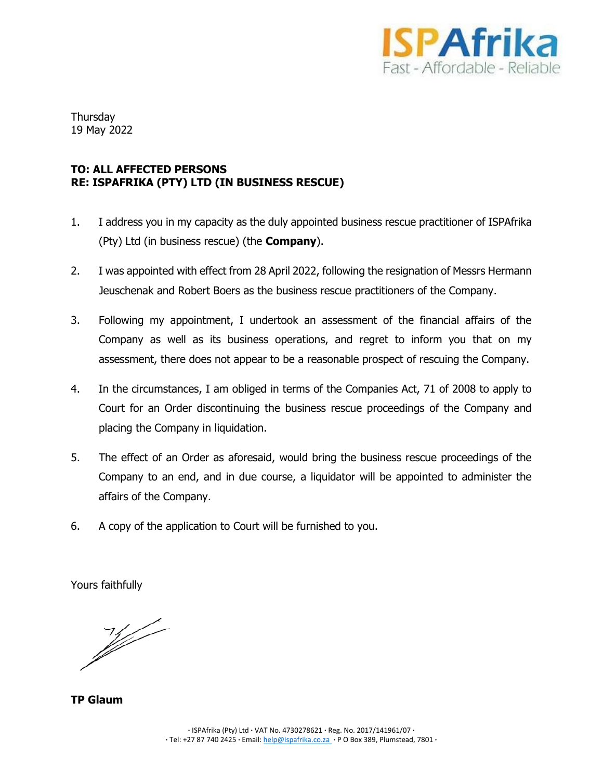

**Thursday** 19 May 2022

## **TO: ALL AFFECTED PERSONS RE: ISPAFRIKA (PTY) LTD (IN BUSINESS RESCUE)**

- 1. I address you in my capacity as the duly appointed business rescue practitioner of ISPAfrika (Pty) Ltd (in business rescue) (the **Company**).
- 2. I was appointed with effect from 28 April 2022, following the resignation of Messrs Hermann Jeuschenak and Robert Boers as the business rescue practitioners of the Company.
- 3. Following my appointment, I undertook an assessment of the financial affairs of the Company as well as its business operations, and regret to inform you that on my assessment, there does not appear to be a reasonable prospect of rescuing the Company.
- 4. In the circumstances, I am obliged in terms of the Companies Act, 71 of 2008 to apply to Court for an Order discontinuing the business rescue proceedings of the Company and placing the Company in liquidation.
- 5. The effect of an Order as aforesaid, would bring the business rescue proceedings of the Company to an end, and in due course, a liquidator will be appointed to administer the affairs of the Company.
- 6. A copy of the application to Court will be furnished to you.

Yours faithfully

 $\frac{1}{2}$ 

**TP Glaum**